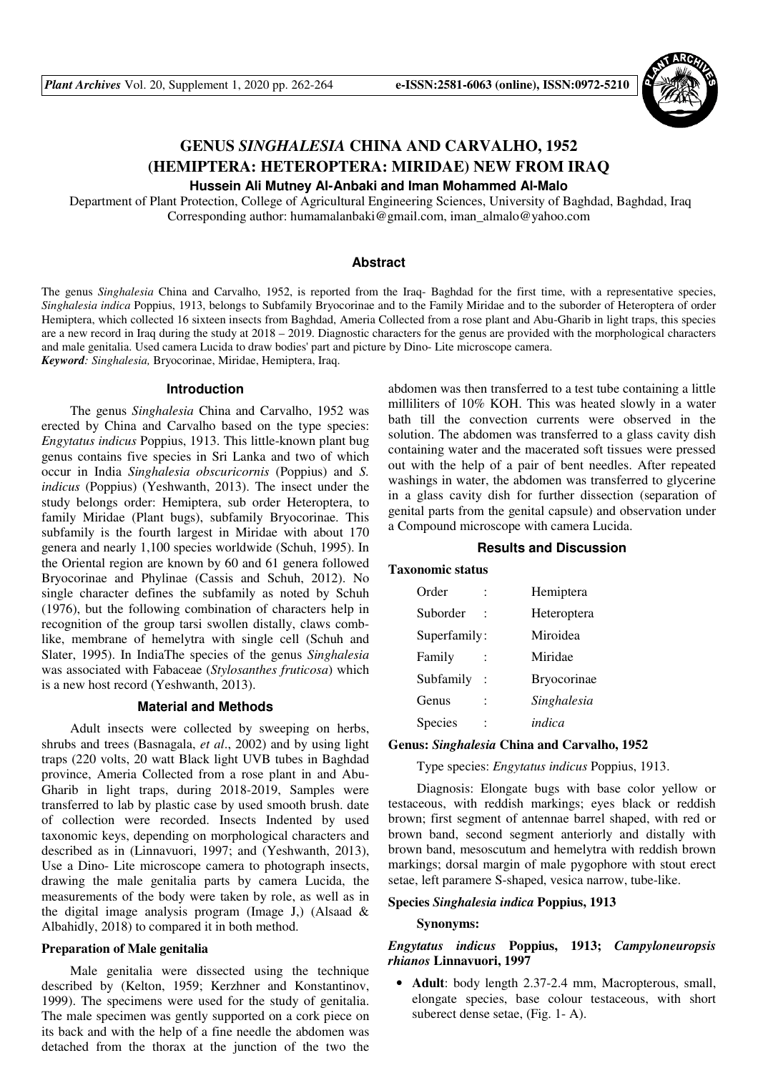

# **GENUS** *SINGHALESIA* **CHINA AND CARVALHO, 1952 (HEMIPTERA: HETEROPTERA: MIRIDAE) NEW FROM IRAQ Hussein Ali Mutney Al-Anbaki and Iman Mohammed Al-Malo**

 Department of Plant Protection, College of Agricultural Engineering Sciences, University of Baghdad, Baghdad, Iraq Corresponding author: humamalanbaki@gmail.com, iman\_almalo@yahoo.com

#### **Abstract**

The genus *Singhalesia* China and Carvalho, 1952, is reported from the Iraq- Baghdad for the first time, with a representative species, *Singhalesia indica* Poppius, 1913, belongs to Subfamily Bryocorinae and to the Family Miridae and to the suborder of Heteroptera of order Hemiptera, which collected 16 sixteen insects from Baghdad, Ameria Collected from a rose plant and Abu-Gharib in light traps, this species are a new record in Iraq during the study at 2018 – 2019. Diagnostic characters for the genus are provided with the morphological characters and male genitalia. Used camera Lucida to draw bodies' part and picture by Dino- Lite microscope camera. *Keyword: Singhalesia,* Bryocorinae, Miridae, Hemiptera, Iraq.

#### **Introduction**

The genus *Singhalesia* China and Carvalho, 1952 was erected by China and Carvalho based on the type species: *Engytatus indicus* Poppius, 1913. This little-known plant bug genus contains five species in Sri Lanka and two of which occur in India *Singhalesia obscuricornis* (Poppius) and *S. indicus* (Poppius) (Yeshwanth, 2013). The insect under the study belongs order: Hemiptera, sub order Heteroptera, to family Miridae (Plant bugs), subfamily Bryocorinae. This subfamily is the fourth largest in Miridae with about 170 genera and nearly 1,100 species worldwide (Schuh, 1995). In the Oriental region are known by 60 and 61 genera followed Bryocorinae and Phylinae (Cassis and Schuh, 2012). No single character defines the subfamily as noted by Schuh (1976), but the following combination of characters help in recognition of the group tarsi swollen distally, claws comblike, membrane of hemelytra with single cell (Schuh and Slater, 1995). In IndiaThe species of the genus *Singhalesia* was associated with Fabaceae (*Stylosanthes fruticosa*) which is a new host record (Yeshwanth, 2013).

## **Material and Methods**

Adult insects were collected by sweeping on herbs, shrubs and trees (Basnagala, *et al*., 2002) and by using light traps (220 volts, 20 watt Black light UVB tubes in Baghdad province, Ameria Collected from a rose plant in and Abu-Gharib in light traps, during 2018-2019, Samples were transferred to lab by plastic case by used smooth brush. date of collection were recorded. Insects Indented by used taxonomic keys, depending on morphological characters and described as in (Linnavuori, 1997; and (Yeshwanth, 2013), Use a Dino- Lite microscope camera to photograph insects, drawing the male genitalia parts by camera Lucida, the measurements of the body were taken by role, as well as in the digital image analysis program (Image J,) (Alsaad & Albahidly, 2018) to compared it in both method.

#### **Preparation of Male genitalia**

Male genitalia were dissected using the technique described by (Kelton, 1959; Kerzhner and Konstantinov, 1999). The specimens were used for the study of genitalia. The male specimen was gently supported on a cork piece on its back and with the help of a fine needle the abdomen was detached from the thorax at the junction of the two the

abdomen was then transferred to a test tube containing a little milliliters of 10% KOH. This was heated slowly in a water bath till the convection currents were observed in the solution. The abdomen was transferred to a glass cavity dish containing water and the macerated soft tissues were pressed out with the help of a pair of bent needles. After repeated washings in water, the abdomen was transferred to glycerine in a glass cavity dish for further dissection (separation of genital parts from the genital capsule) and observation under a Compound microscope with camera Lucida.

#### **Results and Discussion**

#### **Taxonomic status**

| Order          |                | Hemiptera          |
|----------------|----------------|--------------------|
| Suborder       |                | Heteroptera        |
| Superfamily:   |                | Miroidea           |
| Family         |                | Miridae            |
| Subfamily      | $\ddot{\cdot}$ | <b>Bryocorinae</b> |
| Genus          |                | Singhalesia        |
| <b>Species</b> |                | indica             |

## **Genus:** *Singhalesia* **China and Carvalho, 1952**

Type species: *Engytatus indicus* Poppius, 1913.

Diagnosis: Elongate bugs with base color yellow or testaceous, with reddish markings; eyes black or reddish brown; first segment of antennae barrel shaped, with red or brown band, second segment anteriorly and distally with brown band, mesoscutum and hemelytra with reddish brown markings; dorsal margin of male pygophore with stout erect setae, left paramere S-shaped, vesica narrow, tube-like.

## **Species** *Singhalesia indica* **Poppius, 1913**

#### **Synonyms:**

## *Engytatus indicus* **Poppius, 1913;** *Campyloneuropsis rhianos* **Linnavuori, 1997**

• **Adult**: body length 2.37-2.4 mm, Macropterous, small, elongate species, base colour testaceous, with short suberect dense setae, (Fig. 1- A).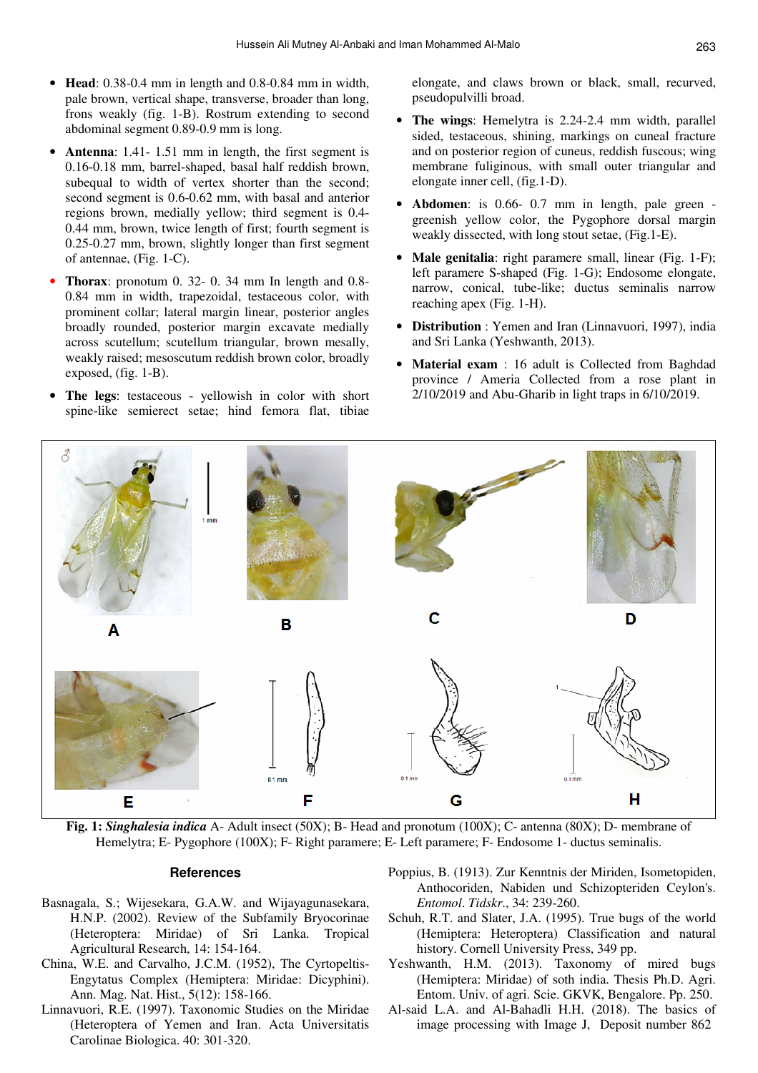- **Head**: 0.38-0.4 mm in length and 0.8-0.84 mm in width, pale brown, vertical shape, transverse, broader than long, frons weakly (fig. 1-B). Rostrum extending to second abdominal segment 0.89-0.9 mm is long.
- **Antenna**: 1.41- 1.51 mm in length, the first segment is 0.16-0.18 mm, barrel-shaped, basal half reddish brown, subequal to width of vertex shorter than the second; second segment is 0.6-0.62 mm, with basal and anterior regions brown, medially yellow; third segment is 0.4- 0.44 mm, brown, twice length of first; fourth segment is 0.25-0.27 mm, brown, slightly longer than first segment of antennae, (Fig. 1-C).
- **Thorax**: pronotum 0. 32- 0. 34 mm In length and 0.8- 0.84 mm in width, trapezoidal, testaceous color, with prominent collar; lateral margin linear, posterior angles broadly rounded, posterior margin excavate medially across scutellum; scutellum triangular, brown mesally, weakly raised; mesoscutum reddish brown color, broadly exposed, (fig. 1-B).
- **The legs**: testaceous yellowish in color with short spine-like semierect setae; hind femora flat, tibiae

elongate, and claws brown or black, small, recurved, pseudopulvilli broad.

- **The wings**: Hemelytra is 2.24-2.4 mm width, parallel sided, testaceous, shining, markings on cuneal fracture and on posterior region of cuneus, reddish fuscous; wing membrane fuliginous, with small outer triangular and elongate inner cell, (fig.1-D).
- **Abdomen**: is 0.66- 0.7 mm in length, pale green greenish yellow color, the Pygophore dorsal margin weakly dissected, with long stout setae, (Fig.1-E).
- **Male genitalia**: right paramere small, linear (Fig. 1-F); left paramere S-shaped (Fig. 1-G); Endosome elongate, narrow, conical, tube-like; ductus seminalis narrow reaching apex (Fig. 1-H).
- **Distribution** : Yemen and Iran (Linnavuori, 1997), india and Sri Lanka (Yeshwanth, 2013).
- **Material exam** : 16 adult is Collected from Baghdad province / Ameria Collected from a rose plant in 2/10/2019 and Abu-Gharib in light traps in 6/10/2019.



**Fig. 1:** *Singhalesia indica* A- Adult insect (50X); B- Head and pronotum (100X); C- antenna (80X); D- membrane of Hemelytra; E- Pygophore (100X); F- Right paramere; E- Left paramere; F- Endosome 1- ductus seminalis.

#### **References**

- Basnagala, S.; Wijesekara, G.A.W. and Wijayagunasekara, H.N.P. (2002). Review of the Subfamily Bryocorinae (Heteroptera: Miridae) of Sri Lanka. Tropical Agricultural Research, 14: 154-164.
- China, W.E. and Carvalho, J.C.M. (1952), The Cyrtopeltis-Engytatus Complex (Hemiptera: Miridae: Dicyphini). Ann. Mag. Nat. Hist., 5(12): 158-166.
- Linnavuori, R.E. (1997). Taxonomic Studies on the Miridae (Heteroptera of Yemen and Iran. Acta Universitatis Carolinae Biologica. 40: 301-320.
- Poppius, B. (1913). Zur Kenntnis der Miriden, Isometopiden, Anthocoriden, Nabiden und Schizopteriden Ceylon's. *Entomol*. *Tidskr*., 34: 239-260.
- Schuh, R.T. and Slater, J.A. (1995). True bugs of the world (Hemiptera: Heteroptera) Classification and natural history. Cornell University Press, 349 pp.
- Yeshwanth, H.M. (2013). Taxonomy of mired bugs (Hemiptera: Miridae) of soth india. Thesis Ph.D. Agri. Entom. Univ. of agri. Scie. GKVK, Bengalore. Pp. 250.
- Al-said L.A. and Al-Bahadli H.H. (2018). The basics of image processing with Image J, Deposit number 862